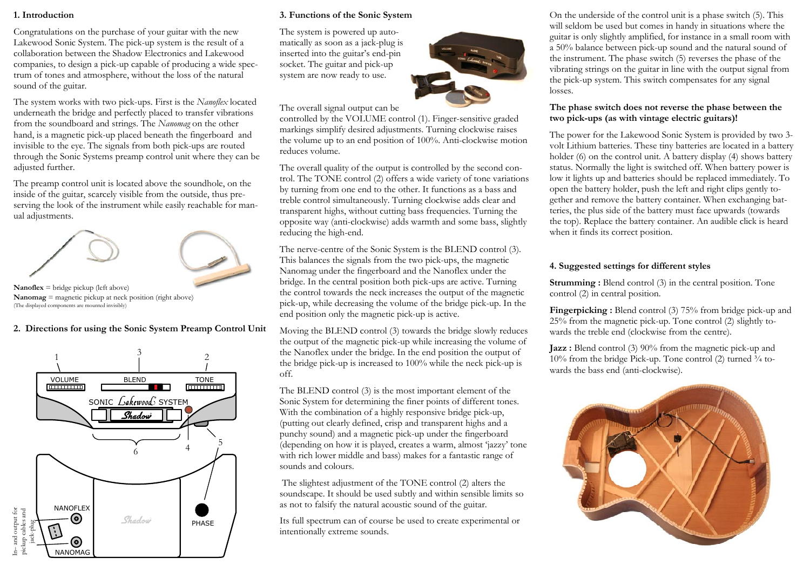#### **1. Introduction**

Congratulations on the purchase of your guitar with the new Lakewood Sonic System. The pick-up system is the result of a collaboration between the Shadow Electronics and Lakewood companies, to design a pick-up capable of producing a wide spectrum of tones and atmosphere, without the loss of the natural sound of the guitar.

The system works with two pick-ups. First is the *Nanoflex* located underneath the bridge and perfectly placed to transfer vibrations from the soundboard and strings. The *Nanomag* on the other hand, is a magnetic pick-up placed beneath the fingerboard and invisible to the eye. The signals from both pick-ups are routed through the Sonic Systems preamp control unit where they can be adjusted further.

The preamp control unit is located above the soundhole, on the inside of the guitar, scarcely visible from the outside, thus preserving the look of the instrument while easily reachable for manual adjustments.



**Nanoflex** = bridge pickup (left above) **Nanomag** = magnetic pickup at neck position (right above) (The displayed components are mounted invisibly)

#### **2. Directions for using the Sonic System Preamp Control Unit**



#### **3. Functions of the Sonic System**

The system is powered up automatically as soon as a jack-plug is inserted into the guitar's end-pin socket. The guitar and pick-up system are now ready to use.

The overall signal output can be

controlled by the VOLUME control (1). Finger-sensitive graded markings simplify desired adjustments. Turning clockwise raises the volume up to an end position of 100%. Anti-clockwise motion reduces volume.

The overall quality of the output is controlled by the second control. The TONE control (2) offers a wide variety of tone variations by turning from one end to the other. It functions as a bass and treble control simultaneously. Turning clockwise adds clear and transparent highs, without cutting bass frequencies. Turning the opposite way (anti-clockwise) adds warmth and some bass, slightly reducing the high-end.

The nerve-centre of the Sonic System is the BLEND control (3). This balances the signals from the two pick-ups, the magnetic Nanomag under the fingerboard and the Nanoflex under the bridge. In the central position both pick-ups are active. Turning the control towards the neck increases the output of the magnetic pick-up, while decreasing the volume of the bridge pick-up. In the end position only the magnetic pick-up is active.

Moving the BLEND control (3) towards the bridge slowly reduces the output of the magnetic pick-up while increasing the volume of the Nanoflex under the bridge. In the end position the output of the bridge pick-up is increased to 100% while the neck pick-up is off.

The BLEND control (3) is the most important element of the Sonic System for determining the finer points of different tones. With the combination of a highly responsive bridge pick-up, (putting out clearly defined, crisp and transparent highs and a punchy sound) and a magnetic pick-up under the fingerboard (depending on how it is played, creates a warm, almost 'jazzy' tone with rich lower middle and bass) makes for a fantastic range of sounds and colours.

 The slightest adjustment of the TONE control (2) alters the soundscape. It should be used subtly and within sensible limits so as not to falsify the natural acoustic sound of the guitar.

Its full spectrum can of course be used to create experimental or intentionally extreme sounds.

On the underside of the control unit is a phase switch (5). This will seldom be used but comes in handy in situations where the guitar is only slightly amplified, for instance in a small room with a 50% balance between pick-up sound and the natural sound of the instrument. The phase switch (5) reverses the phase of the vibrating strings on the guitar in line with the output signal from the pick-up system. This switch compensates for any signal losses.

#### **The phase switch does not reverse the phase between the two pick-ups (as with vintage electric guitars)!**

The power for the Lakewood Sonic System is provided by two 3 volt Lithium batteries. These tiny batteries are located in a battery holder (6) on the control unit. A battery display (4) shows battery status. Normally the light is switched off. When battery power is low it lights up and batteries should be replaced immediately. To open the battery holder, push the left and right clips gently together and remove the battery container. When exchanging batteries, the plus side of the battery must face upwards (towards the top). Replace the battery container. An audible click is heard when it finds its correct position.

#### **4. Suggested settings for different styles**

**Strumming :** Blend control (3) in the central position. Tone control (2) in central position.

**Fingerpicking :** Blend control (3) 75% from bridge pick-up and 25% from the magnetic pick-up. Tone control (2) slightly towards the treble end (clockwise from the centre).

**Jazz :** Blend control (3) 90% from the magnetic pick-up and 10% from the bridge Pick-up. Tone control  $(2)$  turned  $\frac{3}{4}$  towards the bass end (anti-clockwise).